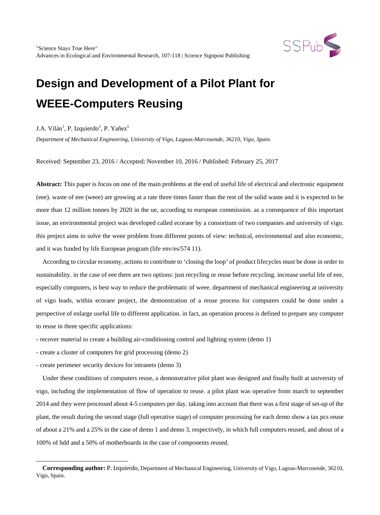

## J.A. Vilán<sup>1</sup>, P. Izquierdo<sup>1</sup>, P. Yañez<sup>1</sup>

*Department of Mechanical Engineering, University of Vigo, Lagoas-Marcosende, 36210, Vigo, Spain.*

Received: September 23, 2016 / Accepted: November 10, 2016 / Published: February 25, 2017

**Abstract:** This paper is focus on one of the main problems at the end of useful life of electrical and electronic equipment (eee). waste of eee (weee) are growing at a rate three times faster than the rest of the solid waste and it is expected to be more than 12 million tonnes by 2020 in the ue, according to european commission. as a consequence of this important issue, an environmental project was developed called ecoraee by a consortium of two companies and university of vigo. this project aims to solve the weee problem from different points of view: technical, environmental and also economic, and it was funded by life European program (life env/es/574 11).

According to circular economy, actions to contribute to 'closing the loop' of product lifecycles must be done in order to sustainability. in the case of eee there are two options: just recycling or reuse before recycling. increase useful life of eee, especially computers, is best way to reduce the problematic of weee. department of mechanical engineering at university of vigo leads, within ecoraee project, the demonstration of a reuse process for computers could be done under a perspective of enlarge useful life to different application. in fact, an operation process is defined to prepare any computer to reuse in three specific applications:

- recover material to create a building air-conditioning control and lighting system (demo 1)

- create a cluster of computers for grid processing (demo 2)
- create perimeter security devices for intranets (demo 3)

 $\overline{a}$ 

Under these conditions of computers reuse, a demonstrative pilot plant was designed and finally built at university of vigo, including the implementation of flow of operation to reuse. a pilot plant was operative from march to september 2014 and they were processed about 4-5 computers per day. taking into account that there was a first stage of set-up of the plant, the result during the second stage (full operative stage) of computer processing for each demo show a tax pcs reuse of about a 21% and a 25% in the case of demo 1 and demo 3, respectively, in which full computers reused, and about of a 100% of hdd and a 50% of motherboards in the case of components reused.

<span id="page-0-0"></span>**Corresponding author:** P. Izquierdo, Department of Mechanical Engineering, University of Vigo, Lagoas-Marcosende, 36210, Vigo, Spain.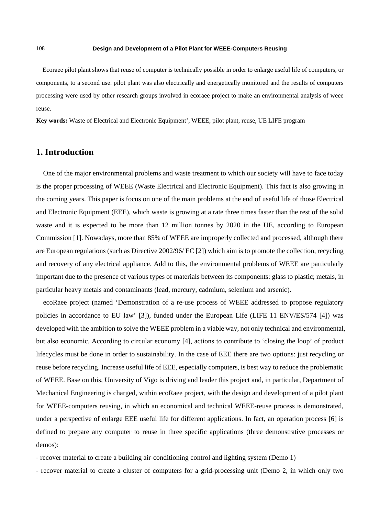Ecoraee pilot plant shows that reuse of computer is technically possible in order to enlarge useful life of computers, or components, to a second use. pilot plant was also electrically and energetically monitored and the results of computers processing were used by other research groups involved in ecoraee project to make an environmental analysis of weee reuse.

**Key words:** Waste of Electrical and Electronic Equipment', WEEE, pilot plant, reuse, UE LIFE program

## **1. Introduction**

One of the major environmental problems and waste treatment to which our society will have to face today is the proper processing of WEEE (Waste Electrical and Electronic Equipment). This fact is also growing in the coming years. This paper is focus on one of the main problems at the end of useful life of those Electrical and Electronic Equipment (EEE), which waste is growing at a rate three times faster than the rest of the solid waste and it is expected to be more than 12 million tonnes by 2020 in the UE, according to European Commission [1]. Nowadays, more than 85% of WEEE are improperly collected and processed, although there are European regulations (such as Directive 2002/96/ EC [2]) which aim is to promote the collection, recycling and recovery of any electrical appliance. Add to this, the environmental problems of WEEE are particularly important due to the presence of various types of materials between its components: glass to plastic; metals, in particular heavy metals and contaminants (lead, mercury, cadmium, selenium and arsenic).

ecoRaee project (named 'Demonstration of a re-use process of WEEE addressed to propose regulatory policies in accordance to EU law' [3]), funded under the European Life (LIFE 11 ENV/ES/574 [4]) was developed with the ambition to solve the WEEE problem in a viable way, not only technical and environmental, but also economic. According to circular economy [4], actions to contribute to 'closing the loop' of product lifecycles must be done in order to sustainability. In the case of EEE there are two options: just recycling or reuse before recycling. Increase useful life of EEE, especially computers, is best way to reduce the problematic of WEEE. Base on this, University of Vigo is driving and leader this project and, in particular, Department of Mechanical Engineering is charged, within ecoRaee project, with the design and development of a pilot plant for WEEE-computers reusing, in which an economical and technical WEEE-reuse process is demonstrated, under a perspective of enlarge EEE useful life for different applications. In fact, an operation process [6] is defined to prepare any computer to reuse in three specific applications (three demonstrative processes or demos):

- recover material to create a building air-conditioning control and lighting system (Demo 1)

- recover material to create a cluster of computers for a grid-processing unit (Demo 2, in which only two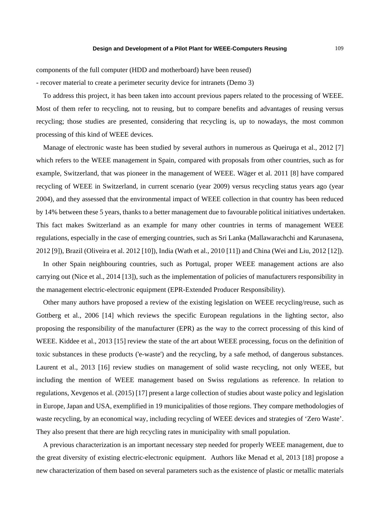components of the full computer (HDD and motherboard) have been reused)

- recover material to create a perimeter security device for intranets (Demo 3)

To address this project, it has been taken into account previous papers related to the processing of WEEE. Most of them refer to recycling, not to reusing, but to compare benefits and advantages of reusing versus recycling; those studies are presented, considering that recycling is, up to nowadays, the most common processing of this kind of WEEE devices.

Manage of electronic waste has been studied by several authors in numerous as Queiruga et al., 2012 [7] which refers to the WEEE management in Spain, compared with proposals from other countries, such as for example, Switzerland, that was pioneer in the management of WEEE. Wäger et al. 2011 [8] have compared recycling of WEEE in Switzerland, in current scenario (year 2009) versus recycling status years ago (year 2004), and they assessed that the environmental impact of WEEE collection in that country has been reduced by 14% between these 5 years, thanks to a better management due to favourable political initiatives undertaken. This fact makes Switzerland as an example for many other countries in terms of management WEEE regulations, especially in the case of emerging countries, such as Sri Lanka (Mallawarachchi and Karunasena, 2012 [9]), Brazil (Oliveira et al. 2012 [10]), India (Wath et al., 2010 [11]) and China (Wei and Liu, 2012 [12]).

In other Spain neighbouring countries, such as Portugal, proper WEEE management actions are also carrying out (Nice et al., 2014 [13]), such as the implementation of policies of manufacturers responsibility in the management electric-electronic equipment (EPR-Extended Producer Responsibility).

Other many authors have proposed a review of the existing legislation on WEEE recycling/reuse, such as Gottberg et al., 2006 [14] which reviews the specific European regulations in the lighting sector, also proposing the responsibility of the manufacturer (EPR) as the way to the correct processing of this kind of WEEE. Kiddee et al., 2013 [15] review the state of the art about WEEE processing, focus on the definition of toxic substances in these products ('e-waste') and the recycling, by a safe method, of dangerous substances. Laurent et al., 2013 [16] review studies on management of solid waste recycling, not only WEEE, but including the mention of WEEE management based on Swiss regulations as reference. In relation to regulations, Xevgenos et al. (2015) [17] present a large collection of studies about waste policy and legislation in Europe, Japan and USA, exemplified in 19 municipalities of those regions. They compare methodologies of waste recycling, by an economical way, including recycling of WEEE devices and strategies of 'Zero Waste'. They also present that there are high recycling rates in municipality with small population.

A previous characterization is an important necessary step needed for properly WEEE management, due to the great diversity of existing electric-electronic equipment. Authors like Menad et al, 2013 [18] propose a new characterization of them based on several parameters such as the existence of plastic or metallic materials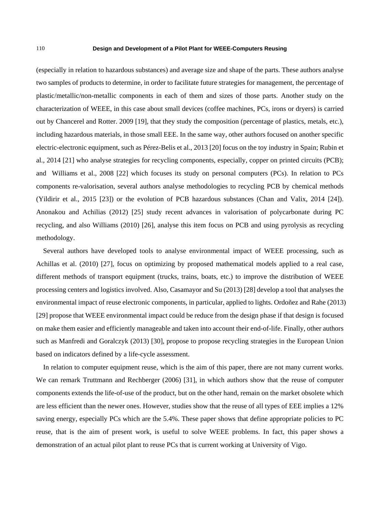(especially in relation to hazardous substances) and average size and shape of the parts. These authors analyse two samples of products to determine, in order to facilitate future strategies for management, the percentage of plastic/metallic/non-metallic components in each of them and sizes of those parts. Another study on the characterization of WEEE, in this case about small devices (coffee machines, PCs, irons or dryers) is carried out by Chancerel and Rotter. 2009 [19], that they study the composition (percentage of plastics, metals, etc.), including hazardous materials, in those small EEE. In the same way, other authors focused on another specific electric-electronic equipment, such as Pérez-Belis et al., 2013 [20] focus on the toy industry in Spain; Rubin et al., 2014 [21] who analyse strategies for recycling components, especially, copper on printed circuits (PCB); and Williams et al., 2008 [22] which focuses its study on personal computers (PCs). In relation to PCs components re-valorisation, several authors analyse methodologies to recycling PCB by chemical methods (Yildirir et al., 2015 [23]) or the evolution of PCB hazardous substances (Chan and Valix, 2014 [24]). Anonakou and Achilias (2012) [25] study recent advances in valorisation of polycarbonate during PC recycling, and also Williams (2010) [26], analyse this item focus on PCB and using pyrolysis as recycling methodology.

Several authors have developed tools to analyse environmental impact of WEEE processing, such as Achillas et al. (2010) [27], focus on optimizing by proposed mathematical models applied to a real case, different methods of transport equipment (trucks, trains, boats, etc.) to improve the distribution of WEEE processing centers and logistics involved. Also, Casamayor and Su (2013) [28] develop a tool that analyses the environmental impact of reuse electronic components, in particular, applied to lights. Ordoñez and Rahe (2013) [29] propose that WEEE environmental impact could be reduce from the design phase if that design is focused on make them easier and efficiently manageable and taken into account their end-of-life. Finally, other authors such as Manfredi and Goralczyk (2013) [30], propose to propose recycling strategies in the European Union based on indicators defined by a life-cycle assessment.

In relation to computer equipment reuse, which is the aim of this paper, there are not many current works. We can remark Truttmann and Rechberger (2006) [31], in which authors show that the reuse of computer components extends the life-of-use of the product, but on the other hand, remain on the market obsolete which are less efficient than the newer ones. However, studies show that the reuse of all types of EEE implies a 12% saving energy, especially PCs which are the 5.4%. These paper shows that define appropriate policies to PC reuse, that is the aim of present work, is useful to solve WEEE problems. In fact, this paper shows a demonstration of an actual pilot plant to reuse PCs that is current working at University of Vigo.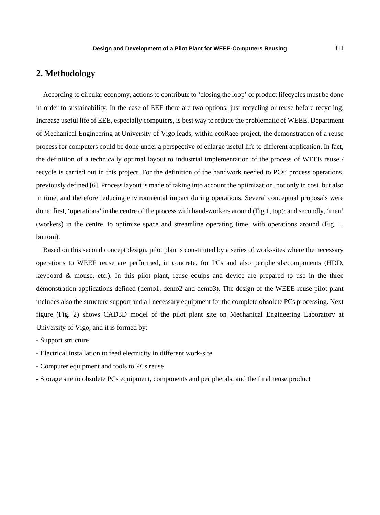# **2. Methodology**

According to circular economy, actions to contribute to 'closing the loop' of product lifecycles must be done in order to sustainability. In the case of EEE there are two options: just recycling or reuse before recycling. Increase useful life of EEE, especially computers, is best way to reduce the problematic of WEEE. Department of Mechanical Engineering at University of Vigo leads, within ecoRaee project, the demonstration of a reuse process for computers could be done under a perspective of enlarge useful life to different application. In fact, the definition of a technically optimal layout to industrial implementation of the process of WEEE reuse / recycle is carried out in this project. For the definition of the handwork needed to PCs' process operations, previously defined [6]. Process layout is made of taking into account the optimization, not only in cost, but also in time, and therefore reducing environmental impact during operations. Several conceptual proposals were done: first, 'operations' in the centre of the process with hand-workers around (Fig 1, top); and secondly, 'men' (workers) in the centre, to optimize space and streamline operating time, with operations around (Fig. 1, bottom).

Based on this second concept design, pilot plan is constituted by a series of work-sites where the necessary operations to WEEE reuse are performed, in concrete, for PCs and also peripherals/components (HDD, keyboard & mouse, etc.). In this pilot plant, reuse equips and device are prepared to use in the three demonstration applications defined (demo1, demo2 and demo3). The design of the WEEE-reuse pilot-plant includes also the structure support and all necessary equipment for the complete obsolete PCs processing. Next figure (Fig. 2) shows CAD3D model of the pilot plant site on Mechanical Engineering Laboratory at University of Vigo, and it is formed by:

- Support structure
- Electrical installation to feed electricity in different work-site
- Computer equipment and tools to PCs reuse
- Storage site to obsolete PCs equipment, components and peripherals, and the final reuse product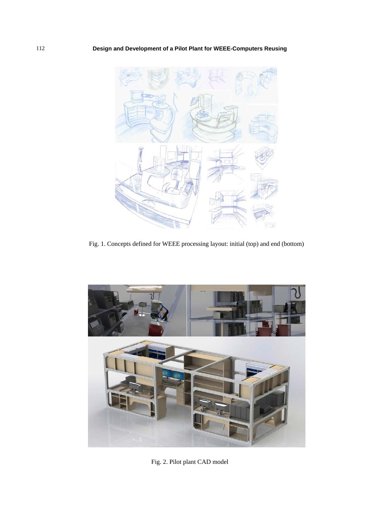

Fig. 1. Concepts defined for WEEE processing layout: initial (top) and end (bottom)



Fig. 2. Pilot plant CAD model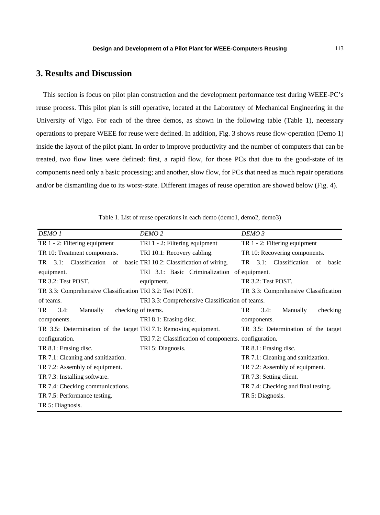## **3. Results and Discussion**

This section is focus on pilot plan construction and the development performance test during WEEE-PC's reuse process. This pilot plan is still operative, located at the Laboratory of Mechanical Engineering in the University of Vigo. For each of the three demos, as shown in the following table (Table 1), necessary operations to prepare WEEE for reuse were defined. In addition, Fig. 3 shows reuse flow-operation (Demo 1) inside the layout of the pilot plant. In order to improve productivity and the number of computers that can be treated, two flow lines were defined: first, a rapid flow, for those PCs that due to the good-state of its components need only a basic processing; and another, slow flow, for PCs that need as much repair operations and/or be dismantling due to its worst-state. Different images of reuse operation are showed below (Fig. 4).

Table 1. List of reuse operations in each demo (demo1, demo2, demo3)

| DEMO <sub>1</sub>                                                | DEMO <sub>2</sub>                                     | DEMO <sub>3</sub>                        |  |
|------------------------------------------------------------------|-------------------------------------------------------|------------------------------------------|--|
| TR 1 - 2: Filtering equipment                                    | TRI 1 - 2: Filtering equipment                        | TR 1 - 2: Filtering equipment            |  |
| TR 10: Treatment components.                                     | TRI 10.1: Recovery cabling.                           | TR 10: Recovering components.            |  |
| Classification<br>TR<br>3.1:<br>of                               | basic TRI 10.2: Classification of wiring.             | Classification of<br>TR<br>3.1:<br>basic |  |
| equipment.                                                       | TRI 3.1: Basic Criminalization<br>of equipment.       |                                          |  |
| TR 3.2: Test POST.                                               | equipment.                                            | TR 3.2: Test POST.                       |  |
| TR 3.3: Comprehensive Classification TRI 3.2: Test POST.         |                                                       | TR 3.3: Comprehensive Classification     |  |
| of teams.                                                        | TRI 3.3: Comprehensive Classification of teams.       |                                          |  |
| TR.<br>Manually<br>3.4:                                          | checking of teams.                                    | TR.<br>Manually<br>3.4:<br>checking      |  |
| components.                                                      | TRI 8.1: Erasing disc.                                | components.                              |  |
| TR 3.5: Determination of the target TRI 7.1: Removing equipment. |                                                       | TR 3.5: Determination of the target      |  |
| configuration.                                                   | TRI 7.2: Classification of components. configuration. |                                          |  |
| TR 8.1: Erasing disc.                                            | TRI 5: Diagnosis.                                     | TR 8.1: Erasing disc.                    |  |
| TR 7.1: Cleaning and sanitization.                               |                                                       | TR 7.1: Cleaning and sanitization.       |  |
| TR 7.2: Assembly of equipment.                                   |                                                       | TR 7.2: Assembly of equipment.           |  |
| TR 7.3: Installing software.                                     |                                                       | TR 7.3: Setting client.                  |  |
| TR 7.4: Checking communications.                                 |                                                       | TR 7.4: Checking and final testing.      |  |
| TR 7.5: Performance testing.                                     |                                                       | TR 5: Diagnosis.                         |  |
| TR 5: Diagnosis.                                                 |                                                       |                                          |  |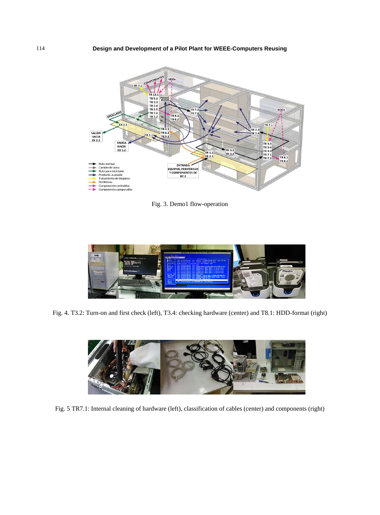

Fig. 3. Demo1 flow-operation



Fig. 4. T3.2: Turn-on and first check (left), T3.4: checking hardware (center) and T8.1: HDD-format (right)



Fig. 5 TR7.1: Internal cleaning of hardware (left), classification of cables (center) and components (right)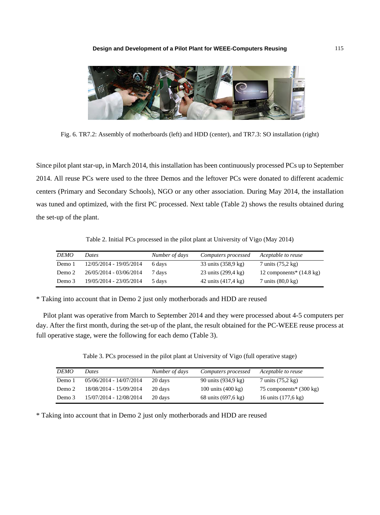

Fig. 6. TR7.2: Assembly of motherboards (left) and HDD (center), and TR7.3: SO installation (right)

Since pilot plant star-up, in March 2014, this installation has been continuously processed PCs up to September 2014. All reuse PCs were used to the three Demos and the leftover PCs were donated to different academic centers (Primary and Secondary Schools), NGO or any other association. During May 2014, the installation was tuned and optimized, with the first PC processed. Next table (Table 2) shows the results obtained during the set-up of the plant.

Table 2. Initial PCs processed in the pilot plant at University of Vigo (May 2014)

| <b>DEMO</b> | Dates                   | Number of days | Computers processed | Aceptable to reuse                   |
|-------------|-------------------------|----------------|---------------------|--------------------------------------|
| Demo 1      | 12/05/2014 - 19/05/2014 | 6 days         | 33 units (358,9 kg) | 7 units (75,2 kg)                    |
| Demo 2      | 26/05/2014 - 03/06/2014 | 7 days         | 23 units (299,4 kg) | 12 components* $(14.8 \text{ kg})$   |
| Demo 3      | 19/05/2014 - 23/05/2014 | 5 days         | 42 units (417,4 kg) | $7 \text{ units } (80.0 \text{ kg})$ |

\* Taking into account that in Demo 2 just only motherborads and HDD are reused

Pilot plant was operative from March to September 2014 and they were processed about 4-5 computers per day. After the first month, during the set-up of the plant, the result obtained for the PC-WEEE reuse process at full operative stage, were the following for each demo (Table 3).

Table 3. PCs processed in the pilot plant at University of Vigo (full operative stage)

| <b>DEMO</b> | Dates                   | Number of days | Computers processed          | Aceptable to reuse                |
|-------------|-------------------------|----------------|------------------------------|-----------------------------------|
| Demo 1      | 05/06/2014 - 14/07/2014 | 20 days        | 90 units (934,9 kg)          | $7 \text{ units}$ (75,2 kg)       |
| Demo 2      | 18/08/2014 - 15/09/2014 | 20 days        | 100 units $(400 \text{ kg})$ | 75 components* $(300 \text{ kg})$ |
| Demo 3      | 15/07/2014 - 12/08/2014 | 20 days        | 68 units (697,6 kg)          | 16 units (177,6 kg)               |

\* Taking into account that in Demo 2 just only motherborads and HDD are reused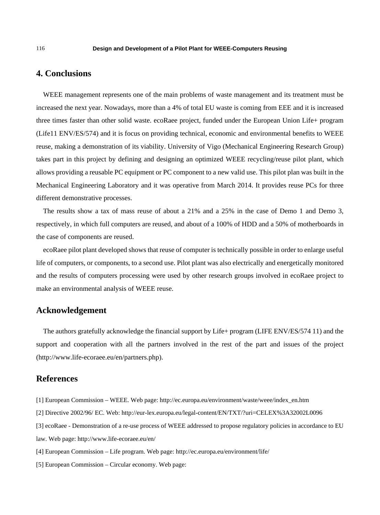## **4. Conclusions**

WEEE management represents one of the main problems of waste management and its treatment must be increased the next year. Nowadays, more than a 4% of total EU waste is coming from EEE and it is increased three times faster than other solid waste. ecoRaee project, funded under the European Union Life+ program (Life11 ENV/ES/574) and it is focus on providing technical, economic and environmental benefits to WEEE reuse, making a demonstration of its viability. University of Vigo (Mechanical Engineering Research Group) takes part in this project by defining and designing an optimized WEEE recycling/reuse pilot plant, which allows providing a reusable PC equipment or PC component to a new valid use. This pilot plan was built in the Mechanical Engineering Laboratory and it was operative from March 2014. It provides reuse PCs for three different demonstrative processes.

The results show a tax of mass reuse of about a 21% and a 25% in the case of Demo 1 and Demo 3, respectively, in which full computers are reused, and about of a 100% of HDD and a 50% of motherboards in the case of components are reused.

ecoRaee pilot plant developed shows that reuse of computer is technically possible in order to enlarge useful life of computers, or components, to a second use. Pilot plant was also electrically and energetically monitored and the results of computers processing were used by other research groups involved in ecoRaee project to make an environmental analysis of WEEE reuse.

## **Acknowledgement**

The authors gratefully acknowledge the financial support by Life+ program (LIFE ENV/ES/574 11) and the support and cooperation with all the partners involved in the rest of the part and issues of the project (http://www.life-ecoraee.eu/en/partners.php).

### **References**

- [1] European Commission WEEE. Web page: http://ec.europa.eu/environment/waste/weee/index\_en.htm
- [2] Directive 2002/96/ EC. Web: http://eur-lex.europa.eu/legal-content/EN/TXT/?uri=CELEX%3A32002L0096
- [3] ecoRaee Demonstration of a re-use process of WEEE addressed to propose regulatory policies in accordance to EU
- law. Web page: http://www.life-ecoraee.eu/en/
- [4] European Commission Life program. Web page: http://ec.europa.eu/environment/life/
- [5] European Commission Circular economy. Web page: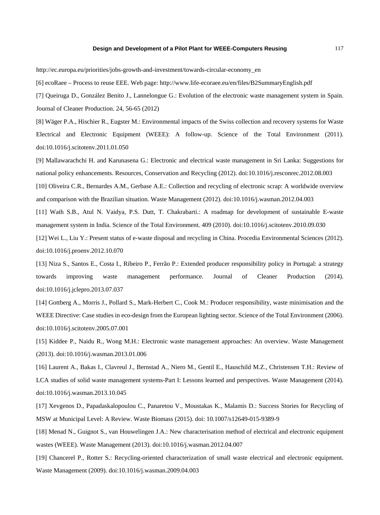http://ec.europa.eu/priorities/jobs-growth-and-investment/towards-circular-economy\_en

[6] ecoRaee – Process to reuse EEE. Web page: http://www.life-ecoraee.eu/en/files/B2SummaryEnglish.pdf

[7] Queiruga D., González Benito J., Lannelongue G.: Evolution of the electronic waste management system in Spain. Journal of Cleaner Production. 24, 56-65 (2012)

[8] Wäger P.A., Hischier R., Eugster M.: Environmental impacts of the Swiss collection and recovery systems for Waste Electrical and Electronic Equipment (WEEE): A follow-up. Science of the Total Environment (2011). doi:10.1016/j.scitotenv.2011.01.050

[9] Mallawarachchi H. and Karunasena G.: Electronic and electrical waste management in Sri Lanka: Suggestions for national policy enhancements. Resources, Conservation and Recycling (2012). doi:10.1016/j.resconrec.2012.08.003

[10] Oliveira C.R., Bernardes A.M., Gerbase A.E.: Collection and recycling of electronic scrap: A worldwide overview and comparison with the Brazilian situation. Waste Management (2012). doi:10.1016/j.wasman.2012.04.003

[11] Wath S.B., Atul N. Vaidya, P.S. Dutt, T. Chakrabarti.: A roadmap for development of sustainable E-waste management system in India. Science of the Total Environment. 409 (2010). doi:10.1016/j.scitotenv.2010.09.030

[12] Wei L., Liu Y.: Present status of e-waste disposal and recycling in China. Procedia Environmental Sciences (2012). doi:10.1016/j.proenv.2012.10.070

[13] Niza S., Santos E., Costa I., Ribeiro P., Ferrão P.: Extended producer responsibility policy in Portugal: a strategy towards improving waste management performance. Journal of Cleaner Production (2014). doi:10.1016/j.jclepro.2013.07.037

[14] Gottberg A., Morris J., Pollard S., Mark-Herbert C., Cook M.: Producer responsibility, waste minimisation and the WEEE Directive: Case studies in eco-design from the European lighting sector. Science of the Total Environment (2006). doi:10.1016/j.scitotenv.2005.07.001

[15] Kiddee P., Naidu R., Wong M.H.: Electronic waste management approaches: An overview. Waste Management (2013). doi:10.1016/j.wasman.2013.01.006

[16] Laurent A., Bakas I., Clavreul J., Bernstad A., Niero M., Gentil E., Hauschild M.Z., Christensen T.H.: Review of LCA studies of solid waste management systems-Part I: Lessons learned and perspectives. Waste Management (2014). doi:10.1016/j.wasman.2013.10.045

[17] Xevgenos D., Papadaskalopoulou C., Panaretou V., Moustakas K., Malamis D.: Success Stories for Recycling of MSW at Municipal Level: A Review. Waste Biomass (2015). doi: 10.1007/s12649-015-9389-9

[18] Menad N., Guignot S., van Houwelingen J.A.: New characterisation method of electrical and electronic equipment wastes (WEEE). Waste Management (2013). doi:10.1016/j.wasman.2012.04.007

[19] Chancerel P., Rotter S.: Recycling-oriented characterization of small waste electrical and electronic equipment. Waste Management (2009). doi:10.1016/j.wasman.2009.04.003